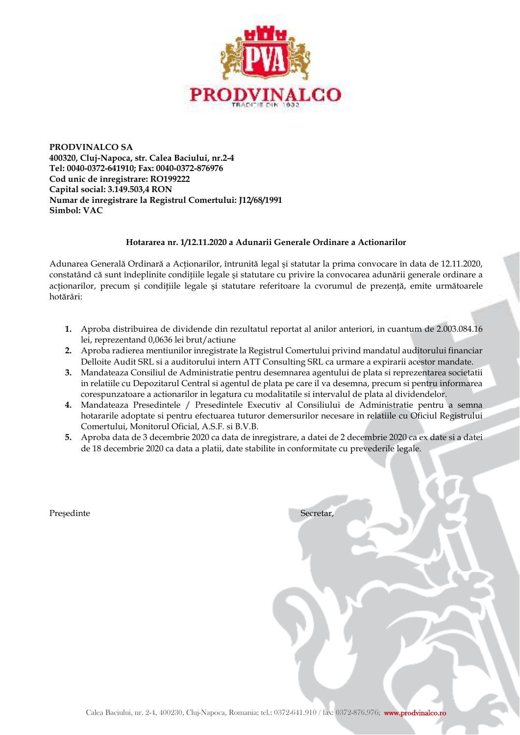

**PRODVINALCO SA 400320, Cluj-Napoca, str. Calea Baciului, nr.2-4 Tel: 0040-0372-641910; Fax: 0040-0372-876976 Cod unic de înregistrare: RO199222 Capital social: 3.149.503,4 RON Numar de inregistrare la Registrul Comertului: J12/68/1991 Simbol: VAC** 

## **Hotararea nr. 1/12.11.2020 a Adunarii Generale Ordinare a Actionarilor**

Adunarea Generală Ordinară a Actionarilor, întrunită legal și statutar la prima convocare în data de 12.11.2020, constatând că sunt îndeplinite conditiile legale și statutare cu privire la convocarea adunării generale ordinare a acționarilor, precum și condițiile legale și statutare referitoare la cvorumul de prezență, emite următoarele hotărâri:

- **1.** Aproba distribuirea de dividende din rezultatul reportat al anilor anteriori, in cuantum de 2.003.084.16 lei, reprezentand 0,0636 lei brut/actiune
- **2.** Aproba radierea mentiunilor inregistrate la Registrul Comertului privind mandatul auditorului financiar Delloite Audit SRL si a auditorului intern ATT Consulting SRL ca urmare a expirarii acestor mandate.
- **3.** Mandateaza Consiliul de Administratie pentru desemnarea agentului de plata si reprezentarea societatii in relatiile cu Depozitarul Central si agentul de plata pe care il va desemna, precum si pentru informarea corespunzatoare a actionarilor in legatura cu modalitatile si intervalul de plata al dividendelor.
- **4.** Mandateaza Presedintele / Presedintele Executiv al Consiliului de Administratie pentru a semna hotararile adoptate si pentru efectuarea tuturor demersurilor necesare in relatiile cu Oficiul Registrului Comertului, Monitorul Oficial, A.S.F. si B.V.B.
- **5.** Aproba data de 3 decembrie 2020 ca data de inregistrare, a datei de 2 decembrie 2020 ca ex date si a datei de 18 decembrie 2020 ca data a platii, date stabilite in conformitate cu prevederile legale.

Președinte Secretar,

| Calea Baciului, nr. 2-4, 400230, Cluj-Napoca, Romania; tel.: 0372-641.910 / fax: 0372-876.976; www.prodvinalco.ro |  |  |
|-------------------------------------------------------------------------------------------------------------------|--|--|